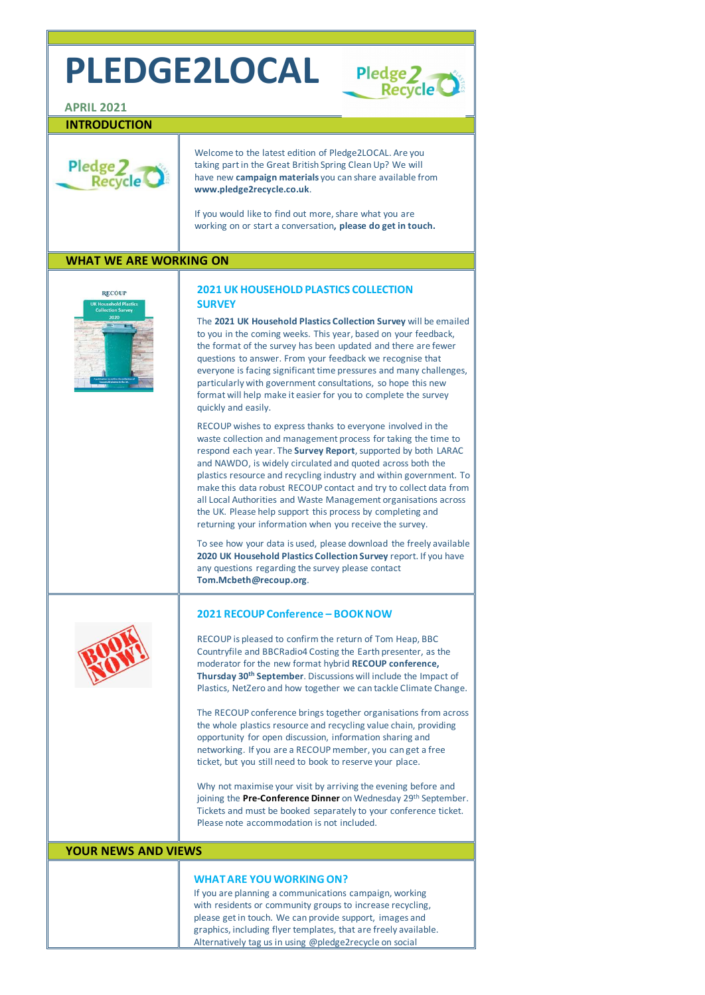# **PLEDGE2LOCAL**



### **APRIL 2021**

## **INTRODUCTION**



Welcome to the latest edition of Pledge2LOCAL. Are you taking part in the Great British Spring Clean Up? We will have new **[campaign materials](http://www.pledge2recycle.co.uk/page/21/campaigns)** you can share available from **[www.pledge2recycle.co.uk](http://www.pledge2recycle.co.uk/)**.

If you would like to find out more, share what you are working on or start a conversation**[, please do get in touch.](mailto:enquiry@recoup.org?subject=PLEDGE2LOCAL%20ENQUIRY)**

# **WHAT WE ARE WORKING ON**



# **2021 UK HOUSEHOLD PLASTICS COLLECTION SURVEY**

The **2021 UK Household Plastics Collection Survey** will be emailed to you in the coming weeks. This year, based on your feedback, the format of the survey has been updated and there are fewer questions to answer. From your feedback we recognise that everyone is facing significant time pressures and many challenges, particularly with government consultations, so hope this new format will help make it easier for you to complete the survey quickly and easily.

RECOUP wishes to express thanks to everyone involved in the waste collection and management process for taking the time to respond each year. The **[Survey Report](https://www.recoup.org/p/380/uk-household-plastics-collection-survey-2020)**, supported by both LARAC and NAWDO, is widely circulated and quoted across both the plastics resource and recycling industry and within government. To make this data robust RECOUP contact and try to collect data from all Local Authorities and Waste Management organisations across the UK. Please help support this process by completing and returning your information when you receive the survey.

To see how your data is used, please download the freely available **[2020 UK Household Plastics Collection Survey](https://www.recoup.org/p/380/uk-household-plastics-collection-survey-2020)** report. If you have any questions regarding the survey please contact **[Tom.Mcbeth@recoup.org](mailto:tom.mcbeth@recoup.org?subject=UK%20Household%20Plastics%20Collection%20Survey%20Query)**.



## **2021 RECOUP Conference – BOOK NOW**

RECOUP is pleased to confirm the return of Tom Heap, BBC Countryfile and BBCRadio4 Costing the Earth presenter, as the moderator for the new format hybrid **RECOUP conference, Thursday 30th September**. Discussions will include the Impact of Plastics, NetZero and how together we can tackle Climate Change.

The RECOUP conference brings together organisations from across the whole plastics resource and recycling value chain, providing opportunity for open discussion, information sharing and networking. If you are a RECOUP member, you can get a free ticket, but you still need to book to reserve your place.

Why not maximise your visit by arriving the evening before and joining the **[Pre-Conference Dinner](https://www.recoup.org/p/385/pre-conference-dinner-2021)** on Wednesday 29<sup>th</sup> September. Tickets and must be booked separately to your conference ticket. Please note accommodation is not included.

### **YOUR NEWS AND VIEWS**

#### **WHAT ARE YOU WORKING ON?**

If you are planning a communications campaign, working with residents or community groups to increase recycling, please get in touch. We can provide support, images and graphics, including flyer templates, that are freely available. Alternatively tag us in using @pledge2recycle on social